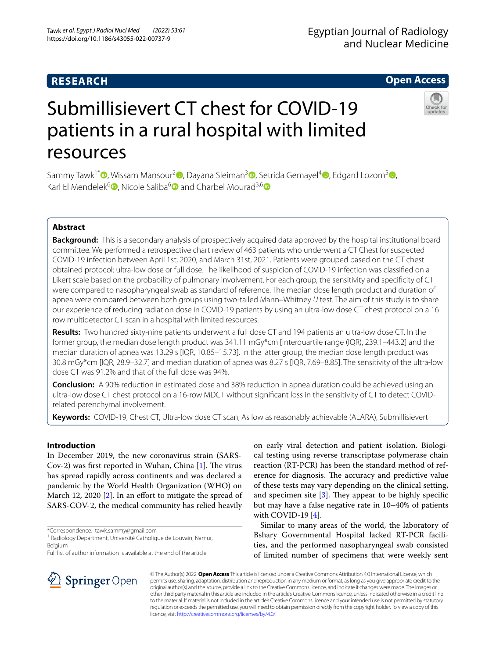## **RESEARCH**

## **Open Access**

# Submillisievert CT chest for COVID-19 patients in a rural hospital with limited resources

Sammy Tawk<sup>1\*</sup>  $\bullet$ [,](http://orcid.org/0000-0002-4523-8050) Wissam Mansour<sup>[2](http://orcid.org/0000-0002-8015-0628)</sup>  $\bullet$ [,](http://orcid.org/0000-0001-7287-8275) Dayana Sleiman<sup>3</sup>  $\bullet$ , Setrida Gemayel<sup>4</sup>  $\bullet$ , Edgard Lozom<sup>[5](http://orcid.org/0000-0003-0376-1318)</sup>  $\bullet$ , Karl El Mendelek<sup>[6](http://orcid.org/0000-0002-6600-5678)</sup><sup>®</sup>, Nicole Saliba<sup>6</sup><sup>®</sup> and Charbel Mourad<sup>3,6</sup><sup>®</sup>

## **Abstract**

**Background:** This is a secondary analysis of prospectively acquired data approved by the hospital institutional board committee. We performed a retrospective chart review of 463 patients who underwent a CT Chest for suspected COVID-19 infection between April 1st, 2020, and March 31st, 2021. Patients were grouped based on the CT chest obtained protocol: ultra-low dose or full dose. The likelihood of suspicion of COVID-19 infection was classifed on a Likert scale based on the probability of pulmonary involvement. For each group, the sensitivity and specifcity of CT were compared to nasopharyngeal swab as standard of reference. The median dose length product and duration of apnea were compared between both groups using two-tailed Mann–Whitney *U* test. The aim of this study is to share our experience of reducing radiation dose in COVID-19 patients by using an ultra-low dose CT chest protocol on a 16 row multidetector CT scan in a hospital with limited resources.

**Results:** Two hundred sixty-nine patients underwent a full dose CT and 194 patients an ultra-low dose CT. In the former group, the median dose length product was 341.11 mGy\*cm [Interquartile range (IQR), 239.1–443.2] and the median duration of apnea was 13.29 s [IQR, 10.85–15.73]. In the latter group, the median dose length product was 30.8 mGy\*cm [IQR, 28.9–32.7] and median duration of apnea was 8.27 s [IQR, 7.69–8.85]. The sensitivity of the ultra-low dose CT was 91.2% and that of the full dose was 94%.

**Conclusion:** A 90% reduction in estimated dose and 38% reduction in apnea duration could be achieved using an ultra-low dose CT chest protocol on a 16-row MDCT without signifcant loss in the sensitivity of CT to detect COVIDrelated parenchymal involvement.

**Keywords:** COVID-19, Chest CT, Ultra-low dose CT scan, As low as reasonably achievable (ALARA), Submillisievert

## **Introduction**

In December 2019, the new coronavirus strain (SARS-Cov-2) was first reported in Wuhan, China  $[1]$  $[1]$ . The virus has spread rapidly across continents and was declared a pandemic by the World Health Organization (WHO) on March 12, 2020 [[2\]](#page-4-1). In an effort to mitigate the spread of SARS-COV-2, the medical community has relied heavily

\*Correspondence: tawk.sammy@gmail.com

<sup>1</sup> Radiology Department, Université Catholique de Louvain, Namur, Belgium

Full list of author information is available at the end of the article

on early viral detection and patient isolation. Biological testing using reverse transcriptase polymerase chain reaction (RT-PCR) has been the standard method of reference for diagnosis. The accuracy and predictive value of these tests may vary depending on the clinical setting, and specimen site  $[3]$  $[3]$ . They appear to be highly specific but may have a false negative rate in 10–40% of patients with COVID-19 [\[4](#page-4-3)].

Similar to many areas of the world, the laboratory of Bshary Governmental Hospital lacked RT-PCR facilities, and the performed nasopharyngeal swab consisted of limited number of specimens that were weekly sent



© The Author(s) 2022. **Open Access** This article is licensed under a Creative Commons Attribution 4.0 International License, which permits use, sharing, adaptation, distribution and reproduction in any medium or format, as long as you give appropriate credit to the original author(s) and the source, provide a link to the Creative Commons licence, and indicate if changes were made. The images or other third party material in this article are included in the article's Creative Commons licence, unless indicated otherwise in a credit line to the material. If material is not included in the article's Creative Commons licence and your intended use is not permitted by statutory regulation or exceeds the permitted use, you will need to obtain permission directly from the copyright holder. To view a copy of this licence, visit [http://creativecommons.org/licenses/by/4.0/.](http://creativecommons.org/licenses/by/4.0/)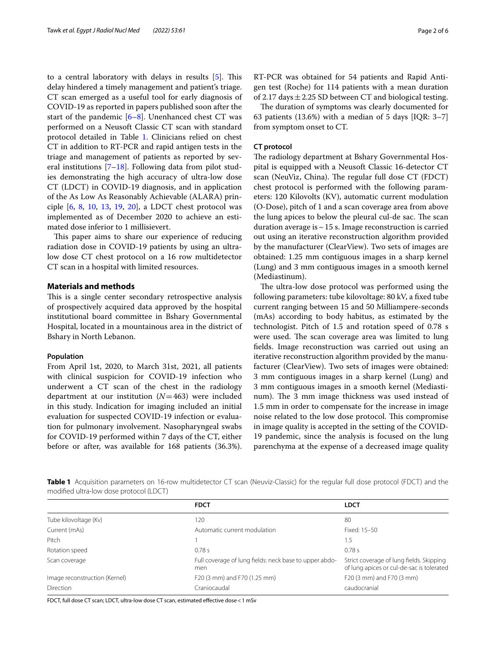to a central laboratory with delays in results [\[5](#page-4-4)]. This delay hindered a timely management and patient's triage. CT scan emerged as a useful tool for early diagnosis of COVID-19 as reported in papers published soon after the start of the pandemic  $[6-8]$  $[6-8]$  $[6-8]$ . Unenhanced chest CT was performed on a Neusoft Classic CT scan with standard protocol detailed in Table [1.](#page-1-0) Clinicians relied on chest CT in addition to RT-PCR and rapid antigen tests in the triage and management of patients as reported by several institutions [[7–](#page-4-7)[18\]](#page-5-0). Following data from pilot studies demonstrating the high accuracy of ultra-low dose CT (LDCT) in COVID-19 diagnosis, and in application of the As Low As Reasonably Achievable (ALARA) principle [\[6](#page-4-5), [8](#page-4-6), [10](#page-4-8), [13](#page-4-9), [19](#page-5-1), [20](#page-5-2)], a LDCT chest protocol was implemented as of December 2020 to achieve an estimated dose inferior to 1 millisievert.

This paper aims to share our experience of reducing radiation dose in COVID-19 patients by using an ultralow dose CT chest protocol on a 16 row multidetector CT scan in a hospital with limited resources.

## **Materials and methods**

This is a single center secondary retrospective analysis of prospectively acquired data approved by the hospital institutional board committee in Bshary Governmental Hospital, located in a mountainous area in the district of Bshary in North Lebanon.

## **Population**

From April 1st, 2020, to March 31st, 2021, all patients with clinical suspicion for COVID-19 infection who underwent a CT scan of the chest in the radiology department at our institution (*N*=463) were included in this study. Indication for imaging included an initial evaluation for suspected COVID-19 infection or evaluation for pulmonary involvement. Nasopharyngeal swabs for COVID-19 performed within 7 days of the CT, either before or after, was available for 168 patients (36.3%). RT-PCR was obtained for 54 patients and Rapid Antigen test (Roche) for 114 patients with a mean duration of 2.17 days  $\pm$  2.25 SD between CT and biological testing.

The duration of symptoms was clearly documented for 63 patients (13.6%) with a median of 5 days [IQR: 3–7] from symptom onset to CT.

## **CT protocol**

The radiology department at Bshary Governmental Hospital is equipped with a Neusoft Classic 16-detector CT scan (NeuViz, China). The regular full dose CT (FDCT) chest protocol is performed with the following parameters: 120 Kilovolts (KV), automatic current modulation (O-Dose), pitch of 1 and a scan coverage area from above the lung apices to below the pleural cul-de sac. The scan duration average is  $\sim$  15 s. Image reconstruction is carried out using an iterative reconstruction algorithm provided by the manufacturer (ClearView). Two sets of images are obtained: 1.25 mm contiguous images in a sharp kernel (Lung) and 3 mm contiguous images in a smooth kernel (Mediastinum).

The ultra-low dose protocol was performed using the following parameters: tube kilovoltage: 80 kV, a fxed tube current ranging between 15 and 50 Milliampere-seconds (mAs) according to body habitus, as estimated by the technologist. Pitch of 1.5 and rotation speed of 0.78 s were used. The scan coverage area was limited to lung felds. Image reconstruction was carried out using an iterative reconstruction algorithm provided by the manufacturer (ClearView). Two sets of images were obtained: 3 mm contiguous images in a sharp kernel (Lung) and 3 mm contiguous images in a smooth kernel (Mediastinum). The 3 mm image thickness was used instead of 1.5 mm in order to compensate for the increase in image noise related to the low dose protocol. This compromise in image quality is accepted in the setting of the COVID-19 pandemic, since the analysis is focused on the lung parenchyma at the expense of a decreased image quality

<span id="page-1-0"></span>**Table 1** Acquisition parameters on 16-row multidetector CT scan (Neuviz-Classic) for the regular full dose protocol (FDCT) and the modifed ultra-low dose protocol (LDCT)

|                               | <b>FDCT</b>                                                   | <b>LDCT</b>                                                                           |  |  |
|-------------------------------|---------------------------------------------------------------|---------------------------------------------------------------------------------------|--|--|
| Tube kilovoltage (Kv)         | 120                                                           | 80                                                                                    |  |  |
| Current (mAs)                 | Automatic current modulation                                  | Fixed: 15-50                                                                          |  |  |
| Pitch                         |                                                               | 1.5                                                                                   |  |  |
| Rotation speed                | 0.78s                                                         | 0.78s                                                                                 |  |  |
| Scan coverage                 | Full coverage of lung fields: neck base to upper abdo-<br>men | Strict coverage of lung fields. Skipping<br>of lung apices or cul-de-sac is tolerated |  |  |
| Image reconstruction (Kernel) | F20 (3 mm) and F70 (1.25 mm)                                  | F20 (3 mm) and F70 (3 mm)                                                             |  |  |
| <b>Direction</b>              | Craniocaudal                                                  | caudocranial                                                                          |  |  |

FDCT, full dose CT scan; LDCT, ultra-low dose CT scan, estimated efective dose<1 mSv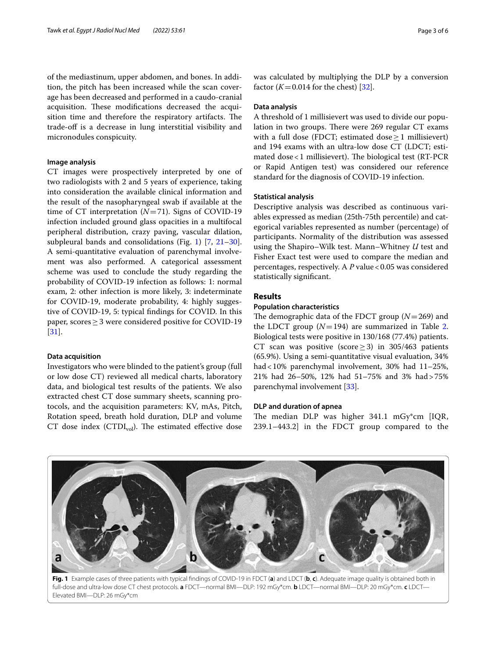of the mediastinum, upper abdomen, and bones. In addition, the pitch has been increased while the scan coverage has been decreased and performed in a caudo-cranial acquisition. These modifications decreased the acquisition time and therefore the respiratory artifacts. The trade-off is a decrease in lung interstitial visibility and micronodules conspicuity.

## **Image analysis**

CT images were prospectively interpreted by one of two radiologists with 2 and 5 years of experience, taking into consideration the available clinical information and the result of the nasopharyngeal swab if available at the time of CT interpretation (*N*=71). Signs of COVID-19 infection included ground glass opacities in a multifocal peripheral distribution, crazy paving, vascular dilation, subpleural bands and consolidations (Fig. [1\)](#page-2-0) [[7,](#page-4-7) [21](#page-5-3)[–30](#page-5-4)]. A semi-quantitative evaluation of parenchymal involvement was also performed. A categorical assessment scheme was used to conclude the study regarding the probability of COVID-19 infection as follows: 1: normal exam, 2: other infection is more likely, 3: indeterminate for COVID-19, moderate probability, 4: highly suggestive of COVID-19, 5: typical fndings for COVID. In this paper, scores≥3 were considered positive for COVID-19 [[31\]](#page-5-5).

## **Data acquisition**

Investigators who were blinded to the patient's group (full or low dose CT) reviewed all medical charts, laboratory data, and biological test results of the patients. We also extracted chest CT dose summary sheets, scanning protocols, and the acquisition parameters: KV, mAs, Pitch, Rotation speed, breath hold duration, DLP and volume CT dose index (CTDI $_{vol}$ ). The estimated effective dose was calculated by multiplying the DLP by a conversion factor  $(K=0.014$  for the chest) [ $32$ ].

## **Data analysis**

A threshold of 1 millisievert was used to divide our population in two groups. There were 269 regular CT exams with a full dose (FDCT; estimated dose  $>1$  millisievert) and 194 exams with an ultra-low dose CT (LDCT; estimated dose  $<$  1 millisievert). The biological test (RT-PCR or Rapid Antigen test) was considered our reference standard for the diagnosis of COVID-19 infection.

## **Statistical analysis**

Descriptive analysis was described as continuous variables expressed as median (25th-75th percentile) and categorical variables represented as number (percentage) of participants. Normality of the distribution was assessed using the Shapiro–Wilk test. Mann–Whitney *U* test and Fisher Exact test were used to compare the median and percentages, respectively. A P value < 0.05 was considered statistically signifcant.

## **Results**

## **Population characteristics**

The demographic data of the FDCT group  $(N=269)$  and the LDCT group  $(N=194)$  are summarized in Table [2](#page-3-0). Biological tests were positive in 130/168 (77.4%) patients. CT scan was positive (score  $\geq$  3) in 305/463 patients (65.9%). Using a semi-quantitative visual evaluation, 34% had<10% parenchymal involvement, 30% had 11–25%, 21% had 26–50%, 12% had 51–75% and 3% had>75% parenchymal involvement [[33\]](#page-5-7).

## **DLP and duration of apnea**

The median DLP was higher 341.1 mGy\*cm [IQR, 239.1–443.2] in the FDCT group compared to the



<span id="page-2-0"></span>full-dose and ultra-low dose CT chest protocols. **a** FDCT—normal BMI—DLP: 192 mGy\*cm. **b** LDCT—normal BMI—DLP: 20 mGy\*cm. **c** LDCT— Elevated BMI—DLP: 26 mGy\*cm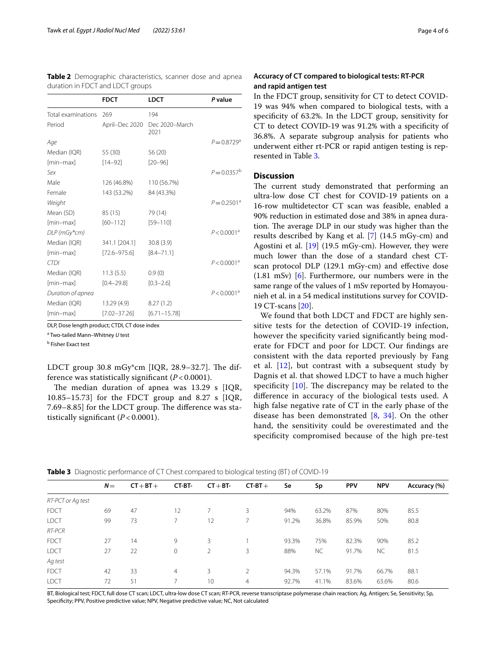<span id="page-3-0"></span>

|                                  | Table 2 Demographic characteristics, scanner dose and apnea |  |  |
|----------------------------------|-------------------------------------------------------------|--|--|
| duration in FDCT and LDCT groups |                                                             |  |  |

|                    | <b>FDCT</b>      | <b>LDCT</b>            | P value                   |
|--------------------|------------------|------------------------|---------------------------|
| Total examinations | 269              | 194                    |                           |
| Period             | April-Dec 2020   | Dec 2020-March<br>2021 |                           |
| Age                |                  |                        | $P = 0.8729$ <sup>a</sup> |
| Median (IQR)       | 55 (30)          | 56 (20)                |                           |
| [min-max]          | $[14 - 92]$      | $[20 - 96]$            |                           |
| Sex                |                  |                        | $P = 0.0357^b$            |
| Male               | 126 (46.8%)      | 110 (56.7%)            |                           |
| Female             | 143 (53.2%)      | 84 (43.3%)             |                           |
| Weight             |                  |                        | $P = 0.2501^a$            |
| Mean (SD)          | 85 (15)          | 79 (14)                |                           |
| [min-max]          | $[60 - 112]$     | $[59 - 110]$           |                           |
| DLP (mGy*cm)       |                  |                        | $P < 0.0001^a$            |
| Median (IQR)       | 341.1 [204.1]    | 30.8(3.9)              |                           |
| [min-max]          | $[72.6 - 975.6]$ | $[8.4 - 71.1]$         |                           |
| <b>CTDI</b>        |                  |                        | $P < 0.0001^a$            |
| Median (IQR)       | 11.3(5.5)        | 0.9(0)                 |                           |
| [min-max]          | $[0.4 - 29.8]$   | $[0.3 - 2.6]$          |                           |
| Duration of apnea  |                  |                        | $P < 0.0001^a$            |
| Median (IQR)       | 13.29 (4.9)      | 8.27(1.2)              |                           |
| [min-max]          | $[7.02 - 37.26]$ | $[6.71 - 15.78]$       |                           |

DLP, Dose length product; CTDI, CT dose index

a Two-tailed Mann–Whitney *U* test

<sup>b</sup> Fisher Exact test

LDCT group  $30.8 \text{ mGy}^*$ cm [IQR, 28.9–32.7]. The difference was statistically signifcant (*P* < 0.0001).

The median duration of apnea was  $13.29$  s [IQR, 10.85–15.73] for the FDCT group and 8.27  $s$  [IQR, 7.69–8.85] for the LDCT group. The difference was statistically signifcant (*P* < 0.0001).

## **Accuracy of CT compared to biological tests: RT‑PCR and rapid antigen test**

In the FDCT group, sensitivity for CT to detect COVID-19 was 94% when compared to biological tests, with a specificity of 63.2%. In the LDCT group, sensitivity for CT to detect COVID-19 was 91.2% with a specifcity of 36.8%. A separate subgroup analysis for patients who underwent either rt-PCR or rapid antigen testing is represented in Table [3.](#page-3-1)

## **Discussion**

The current study demonstrated that performing an ultra-low dose CT chest for COVID-19 patients on a 16-row multidetector CT scan was feasible, enabled a 90% reduction in estimated dose and 38% in apnea duration. The average DLP in our study was higher than the results described by Kang et al. [[7](#page-4-7)] (14.5 mGy-cm) and Agostini et al. [\[19\]](#page-5-1) (19.5 mGy-cm). However, they were much lower than the dose of a standard chest CTscan protocol DLP (129.1 mGy-cm) and efective dose (1.81 mSv) [\[6](#page-4-5)]. Furthermore, our numbers were in the same range of the values of 1 mSv reported by Homayounieh et al. in a 54 medical institutions survey for COVID-19 CT-scans [\[20\]](#page-5-2).

We found that both LDCT and FDCT are highly sensitive tests for the detection of COVID-19 infection, however the specificity varied significantly being moderate for FDCT and poor for LDCT. Our fndings are consistent with the data reported previously by Fang et al.  $[12]$  $[12]$ , but contrast with a subsequent study by Dagnis et al. that showed LDCT to have a much higher specificity  $[10]$  $[10]$  $[10]$ . The discrepancy may be related to the diference in accuracy of the biological tests used. A high false negative rate of CT in the early phase of the disease has been demonstrated [[8,](#page-4-6) [34](#page-5-8)]. On the other hand, the sensitivity could be overestimated and the specifcity compromised because of the high pre-test

<span id="page-3-1"></span>

| Table 3 Diagnostic performance of CT Chest compared to biological testing (BT) of COVID-19 |  |  |
|--------------------------------------------------------------------------------------------|--|--|
|--------------------------------------------------------------------------------------------|--|--|

|                   | $N =$ | $CT + BT +$ | CT-BT-         | $CT + BT$ | $CT-BT+$       | Se    | Sp        | <b>PPV</b> | <b>NPV</b> | Accuracy (%) |
|-------------------|-------|-------------|----------------|-----------|----------------|-------|-----------|------------|------------|--------------|
| RT-PCT or Ag test |       |             |                |           |                |       |           |            |            |              |
| <b>FDCT</b>       | 69    | 47          | 12             |           | 3              | 94%   | 63.2%     | 87%        | 80%        | 85.5         |
| <b>LDCT</b>       | 99    | 73          | $\overline{7}$ | 12        | 7              | 91.2% | 36.8%     | 85.9%      | 50%        | 80.8         |
| RT-PCR            |       |             |                |           |                |       |           |            |            |              |
| <b>FDCT</b>       | 27    | 14          | 9              | 3         |                | 93.3% | 75%       | 82.3%      | 90%        | 85.2         |
| <b>LDCT</b>       | 27    | 22          | $\circ$        | 2         | 3              | 88%   | <b>NC</b> | 91.7%      | <b>NC</b>  | 81.5         |
| Ag test           |       |             |                |           |                |       |           |            |            |              |
| <b>FDCT</b>       | 42    | 33          | $\overline{4}$ | 3         | 2              | 94.3% | 57.1%     | 91.7%      | 66.7%      | 88.1         |
| <b>LDCT</b>       | 72    | 51          |                | 10        | $\overline{4}$ | 92.7% | 41.1%     | 83.6%      | 63.6%      | 80.6         |
|                   |       |             |                |           |                |       |           |            |            |              |

BT, Biological test; FDCT, full dose CT scan; LDCT, ultra-low dose CT scan; RT-PCR, reverse transcriptase polymerase chain reaction; Ag, Antigen; Se, Sensitivity; Sp, Specifcity; PPV, Positive predictive value; NPV, Negative predictive value; NC, Not calculated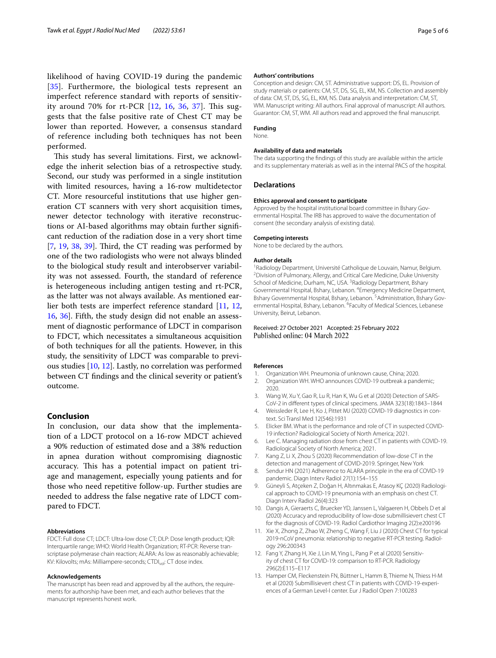likelihood of having COVID-19 during the pandemic [[35](#page-5-9)]. Furthermore, the biological tests represent an imperfect reference standard with reports of sensitivity around 70% for rt-PCR  $[12, 16, 36, 37]$  $[12, 16, 36, 37]$  $[12, 16, 36, 37]$  $[12, 16, 36, 37]$  $[12, 16, 36, 37]$  $[12, 16, 36, 37]$  $[12, 16, 36, 37]$  $[12, 16, 36, 37]$ . This suggests that the false positive rate of Chest CT may be lower than reported. However, a consensus standard of reference including both techniques has not been performed.

This study has several limitations. First, we acknowledge the inherit selection bias of a retrospective study. Second, our study was performed in a single institution with limited resources, having a 16-row multidetector CT. More resourceful institutions that use higher generation CT scanners with very short acquisition times, newer detector technology with iterative reconstructions or AI-based algorithms may obtain further signifcant reduction of the radiation dose in a very short time  $[7, 19, 38, 39]$  $[7, 19, 38, 39]$  $[7, 19, 38, 39]$  $[7, 19, 38, 39]$  $[7, 19, 38, 39]$  $[7, 19, 38, 39]$  $[7, 19, 38, 39]$  $[7, 19, 38, 39]$  $[7, 19, 38, 39]$ . Third, the CT reading was performed by one of the two radiologists who were not always blinded to the biological study result and interobserver variability was not assessed. Fourth, the standard of reference is heterogeneous including antigen testing and rt-PCR, as the latter was not always available. As mentioned earlier both tests are imperfect reference standard [[11,](#page-4-11) [12](#page-4-10), [16,](#page-5-10) [36\]](#page-5-11). Fifth, the study design did not enable an assessment of diagnostic performance of LDCT in comparison to FDCT, which necessitates a simultaneous acquisition of both techniques for all the patients. However, in this study, the sensitivity of LDCT was comparable to previous studies [[10,](#page-4-8) [12](#page-4-10)]. Lastly, no correlation was performed between CT fndings and the clinical severity or patient's outcome.

## **Conclusion**

In conclusion, our data show that the implementation of a LDCT protocol on a 16-row MDCT achieved a 90% reduction of estimated dose and a 38% reduction in apnea duration without compromising diagnostic accuracy. This has a potential impact on patient triage and management, especially young patients and for those who need repetitive follow-up. Further studies are needed to address the false negative rate of LDCT compared to FDCT.

#### **Abbreviations**

FDCT: Full dose CT; LDCT: Ultra-low dose CT; DLP: Dose length product; IQR: Interquartile range; WHO: World Health Organization; RT-PCR: Reverse transcriptase polymerase chain reaction; ALARA: As low as reasonably achievable; KV: Kilovolts; mAs: Milliampere-seconds; CTDI<sub>vol</sub>: CT dose index.

## **Acknowledgements**

The manuscript has been read and approved by all the authors, the requirements for authorship have been met, and each author believes that the manuscript represents honest work.

#### **Authors' contributions**

Conception and design: CM, ST. Administrative support: DS, EL. Provision of study materials or patients: CM, ST, DS, SG, EL, KM, NS. Collection and assembly of data: CM, ST, DS, SG, EL, KM, NS. Data analysis and interpretation: CM, ST, WM. Manuscript writing: All authors. Final approval of manuscript: All authors. Guarantor: CM, ST, WM. All authors read and approved the fnal manuscript.

#### **Funding** None.

## **Availability of data and materials**

The data supporting the fndings of this study are available within the article and its supplementary materials as well as in the internal PACS of the hospital.

### **Declarations**

#### **Ethics approval and consent to participate**

Approved by the hospital institutional board committee in Bshary Governmental Hospital. The IRB has approved to waive the documentation of consent (the secondary analysis of existing data).

#### **Competing interests**

None to be declared by the authors.

#### **Author details**

<sup>1</sup> Radiology Department, Université Catholique de Louvain, Namur, Belgium. <sup>2</sup> Division of Pulmonary, Allergy, and Critical Care Medicine, Duke University School of Medicine, Durham, NC, USA.<sup>3</sup> Radiology Department, Bshary Governmental Hospital, Bshary, Lebanon. 4 Emergency Medicine Department, Bshary Governmental Hospital, Bshary, Lebanon. 5 Administration, Bshary Governmental Hospital, Bshary, Lebanon. <sup>6</sup> Faculty of Medical Sciences, Lebanese University, Beirut, Lebanon.

## Received: 27 October 2021 Accepted: 25 February 2022 Published online: 04 March 2022

### **References**

- <span id="page-4-0"></span>1. Organization WH. Pneumonia of unknown cause, China; 2020.
- <span id="page-4-1"></span>2. Organization WH. WHO announces COVID-19 outbreak a pandemic; 2020.
- <span id="page-4-2"></span>3. Wang W, Xu Y, Gao R, Lu R, Han K, Wu G et al (2020) Detection of SARS-CoV-2 in diferent types of clinical specimens. JAMA 323(18):1843–1844
- <span id="page-4-3"></span>4. Weissleder R, Lee H, Ko J, Pittet MJ (2020) COVID-19 diagnostics in context. Sci Transl Med 12(546):1931
- <span id="page-4-4"></span>5. Elicker BM. What is the performance and role of CT in suspected COVID-19 infection? Radiological Society of North America; 2021.
- <span id="page-4-5"></span>6. Lee C. Managing radiation dose from chest CT in patients with COVID-19. Radiological Society of North America; 2021.
- <span id="page-4-7"></span>7. Kang Z, Li X, Zhou S (2020) Recommendation of low-dose CT in the detection and management of COVID-2019. Springer, New York
- <span id="page-4-6"></span>8. Sendur HN (2021) Adherence to ALARA principle in the era of COVID-19 pandemic. Diagn Interv Radiol 27(1):154–155
- 9. Güneyli S, Atçeken Z, Doğan H, Altınmakas E, Atasoy KÇ (2020) Radiological approach to COVID-19 pneumonia with an emphasis on chest CT. Diagn Interv Radiol 26(4):323
- <span id="page-4-8"></span>10. Dangis A, Gieraerts C, Bruecker YD, Janssen L, Valgaeren H, Obbels D et al (2020) Accuracy and reproducibility of low-dose submillisievert chest CT for the diagnosis of COVID-19. Radiol Cardiothor Imaging 2(2):e200196
- <span id="page-4-11"></span>11. Xie X, Zhong Z, Zhao W, Zheng C, Wang F, Liu J (2020) Chest CT for typical 2019-nCoV pneumonia: relationship to negative RT-PCR testing. Radiology 296:200343
- <span id="page-4-10"></span>12. Fang Y, Zhang H, Xie J, Lin M, Ying L, Pang P et al (2020) Sensitivity of chest CT for COVID-19: comparison to RT-PCR. Radiology 296(2):E115–E117
- <span id="page-4-9"></span>13. Hamper CM, Fleckenstein FN, Büttner L, Hamm B, Thieme N, Thiess H-M et al (2020) Submillisievert chest CT in patients with COVID-19-experiences of a German Level-I center. Eur J Radiol Open 7:100283